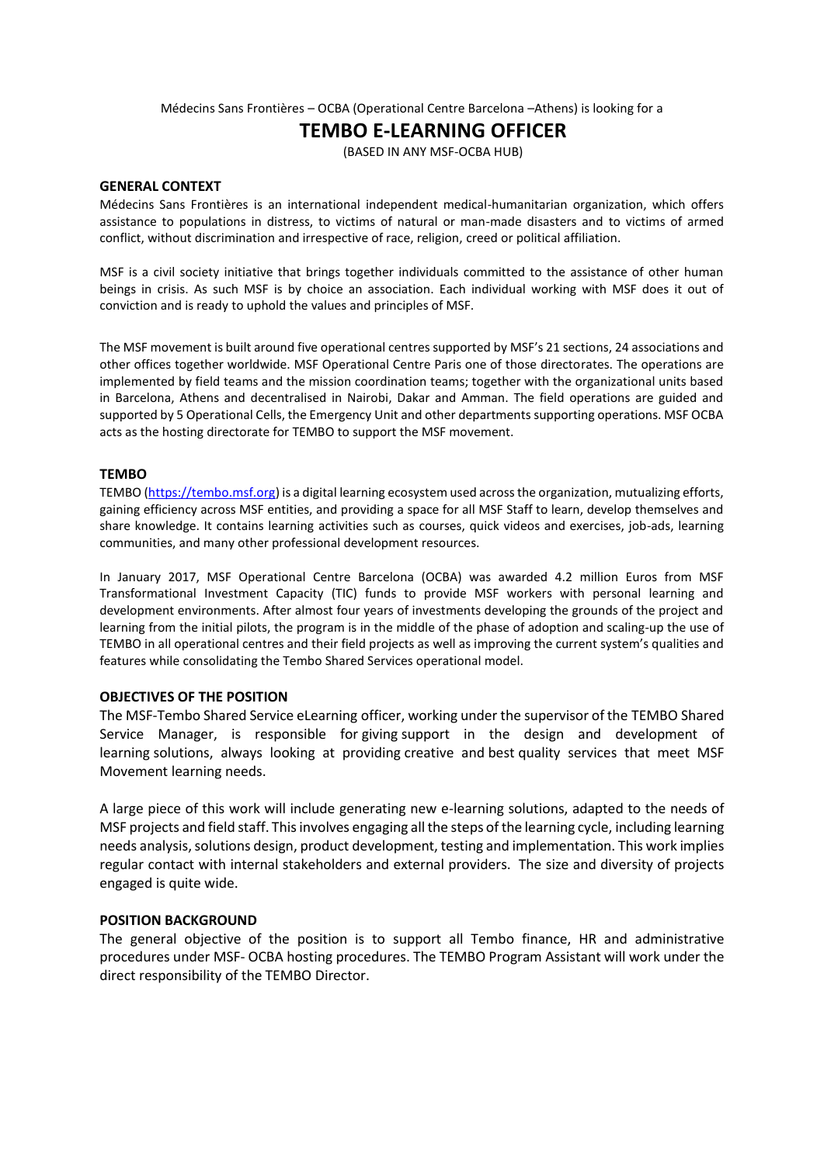Médecins Sans Frontières – OCBA (Operational Centre Barcelona –Athens) is looking for a

# **TEMBO E-LEARNING OFFICER**

(BASED IN ANY MSF-OCBA HUB)

#### **GENERAL CONTEXT**

Médecins Sans Frontières is an international independent medical-humanitarian organization, which offers assistance to populations in distress, to victims of natural or man-made disasters and to victims of armed conflict, without discrimination and irrespective of race, religion, creed or political affiliation.

MSF is a civil society initiative that brings together individuals committed to the assistance of other human beings in crisis. As such MSF is by choice an association. Each individual working with MSF does it out of conviction and is ready to uphold the values and principles of MSF.

The MSF movement is built around five operational centres supported by MSF's 21 sections, 24 associations and other offices together worldwide. MSF Operational Centre Paris one of those directorates. The operations are implemented by field teams and the mission coordination teams; together with the organizational units based in Barcelona, Athens and decentralised in Nairobi, Dakar and Amman. The field operations are guided and supported by 5 Operational Cells, the Emergency Unit and other departments supporting operations. MSF OCBA acts as the hosting directorate for TEMBO to support the MSF movement.

#### **TEMBO**

TEMBO [\(https://tembo.msf.org\)](https://tembo.msf.org/) is a digital learning ecosystem used across the organization, mutualizing efforts, gaining efficiency across MSF entities, and providing a space for all MSF Staff to learn, develop themselves and share knowledge. It contains learning activities such as courses, quick videos and exercises, job-ads, learning communities, and many other professional development resources.

In January 2017, MSF Operational Centre Barcelona (OCBA) was awarded 4.2 million Euros from MSF Transformational Investment Capacity (TIC) funds to provide MSF workers with personal learning and development environments. After almost four years of investments developing the grounds of the project and learning from the initial pilots, the program is in the middle of the phase of adoption and scaling-up the use of TEMBO in all operational centres and their field projects as well as improving the current system's qualities and features while consolidating the Tembo Shared Services operational model.

#### **OBJECTIVES OF THE POSITION**

The MSF-Tembo Shared Service eLearning officer, working under the supervisor of the TEMBO Shared Service Manager, is responsible for giving support in the design and development of learning solutions, always looking at providing creative and best quality services that meet MSF Movement learning needs.

A large piece of this work will include generating new e-learning solutions, adapted to the needs of MSF projects and field staff. This involves engaging all the steps of the learning cycle, including learning needs analysis, solutions design, product development, testing and implementation. This work implies regular contact with internal stakeholders and external providers. The size and diversity of projects engaged is quite wide.

#### **POSITION BACKGROUND**

The general objective of the position is to support all Tembo finance, HR and administrative procedures under MSF- OCBA hosting procedures. The TEMBO Program Assistant will work under the direct responsibility of the TEMBO Director.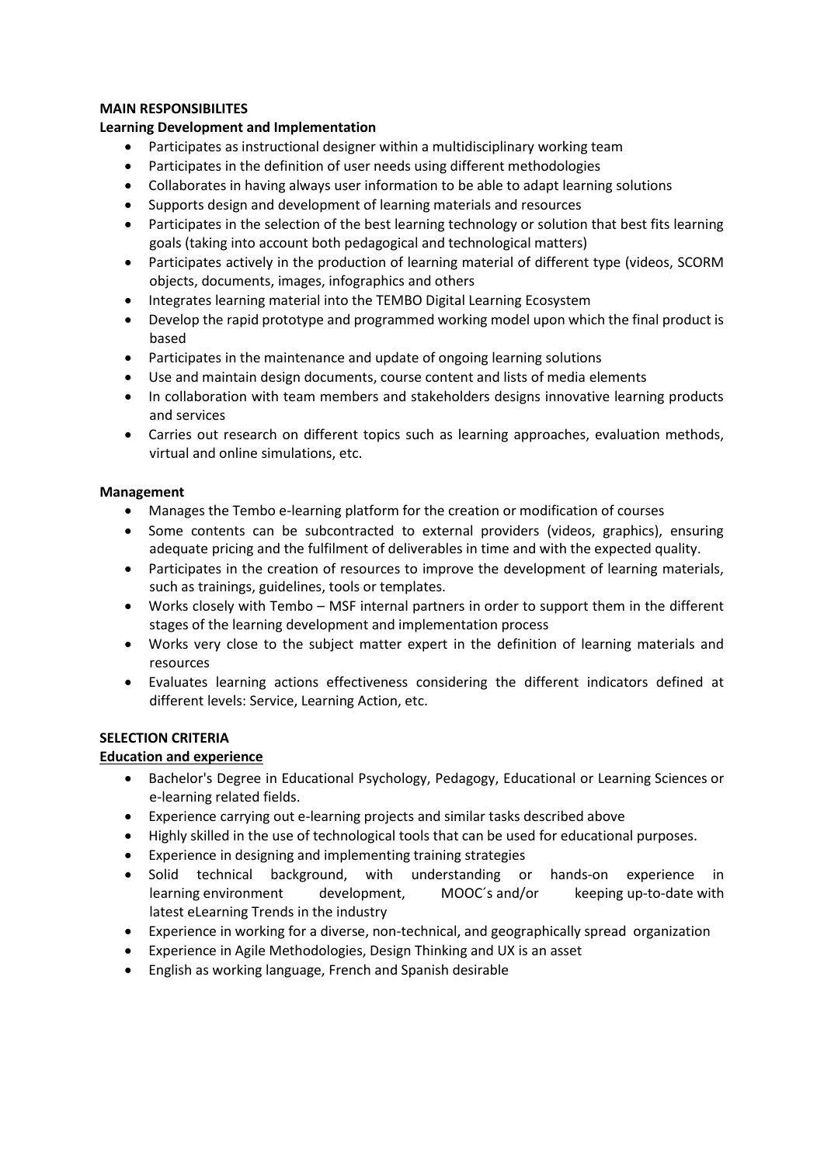### **MAIN RESPONSIBILITES**

## **Learning Development and Implementation**

- Participates as instructional designer within a multidisciplinary working team
- Participates in the definition of user needs using different methodologies
- Collaborates in having always user information to be able to adapt learning solutions
- Supports design and development of learning materials and resources
- Participates in the selection of the best learning technology or solution that best fits learning goals (taking into account both pedagogical and technological matters)
- Participates actively in the production of learning material of different type (videos, SCORM objects, documents, images, infographics and others
- Integrates learning material into the TEMBO Digital Learning Ecosystem
- Develop the rapid prototype and programmed working model upon which the final product is based
- Participates in the maintenance and update of ongoing learning solutions
- Use and maintain design documents, course content and lists of media elements
- In collaboration with team members and stakeholders designs innovative learning products and services
- Carries out research on different topics such as learning approaches, evaluation methods, virtual and online simulations, etc.

## **Management**

- Manages the Tembo e-learning platform for the creation or modification of courses
- Some contents can be subcontracted to external providers (videos, graphics), ensuring adequate pricing and the fulfilment of deliverables in time and with the expected quality.
- Participates in the creation of resources to improve the development of learning materials, such as trainings, guidelines, tools or templates.
- Works closely with Tembo MSF internal partners in order to support them in the different stages of the learning development and implementation process
- Works very close to the subject matter expert in the definition of learning materials and resources
- Evaluates learning actions effectiveness considering the different indicators defined at different levels: Service, Learning Action, etc.

# **SELECTION CRITERIA**

# **Education and experience**

- Bachelor's Degree in Educational Psychology, Pedagogy, Educational or Learning Sciences or e-learning related fields.
- Experience carrying out e-learning projects and similar tasks described above
- Highly skilled in the use of technological tools that can be used for educational purposes.
- Experience in designing and implementing training strategies
- Solid technical background, with understanding or hands-on experience in learning environment development, MOOC´s and/or keeping up-to-date with latest eLearning Trends in the industry
- Experience in working for a diverse, non-technical, and geographically spread organization
- Experience in Agile Methodologies, Design Thinking and UX is an asset
- English as working language, French and Spanish desirable